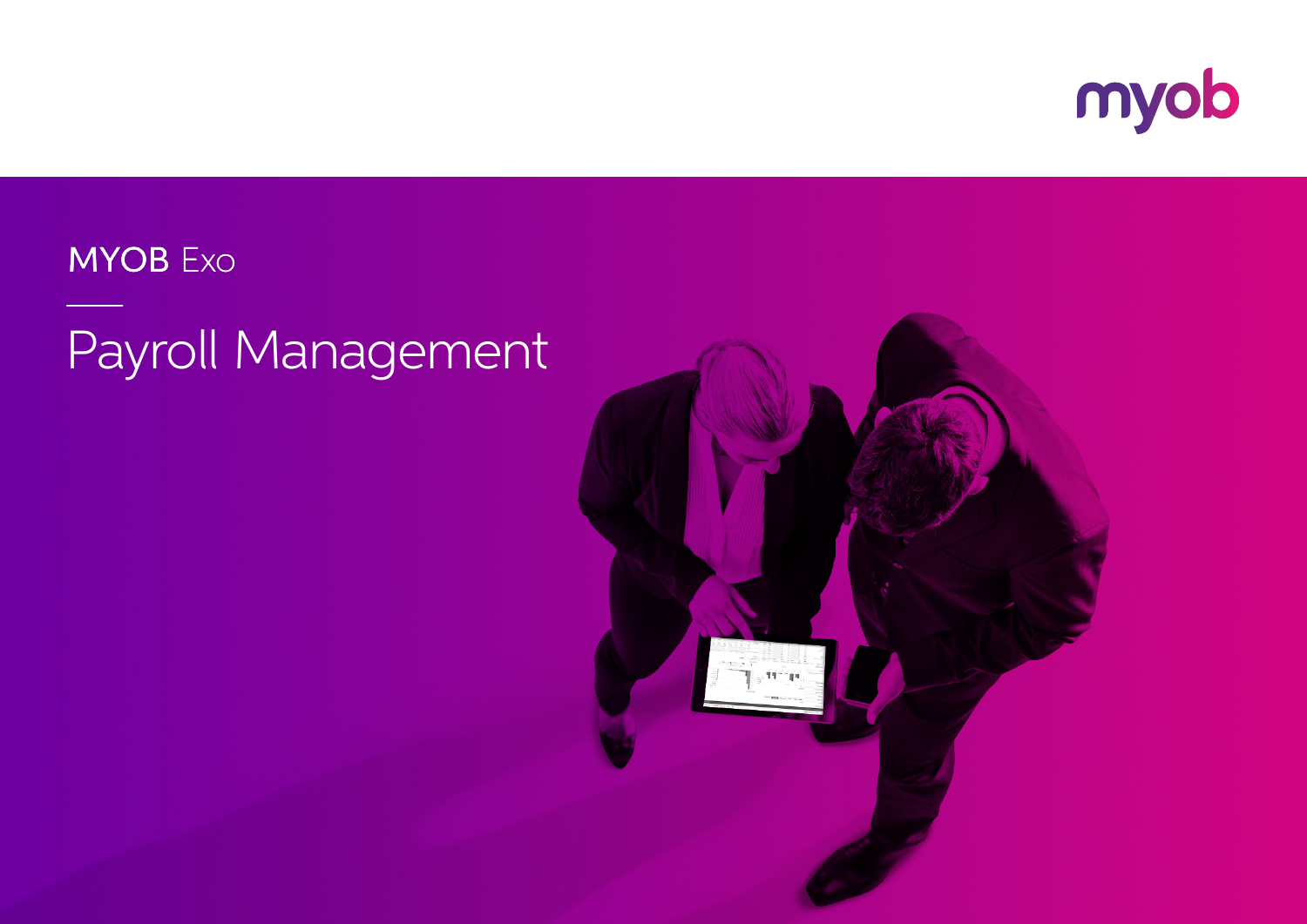

### **MYOB** Exo

## Payroll Management

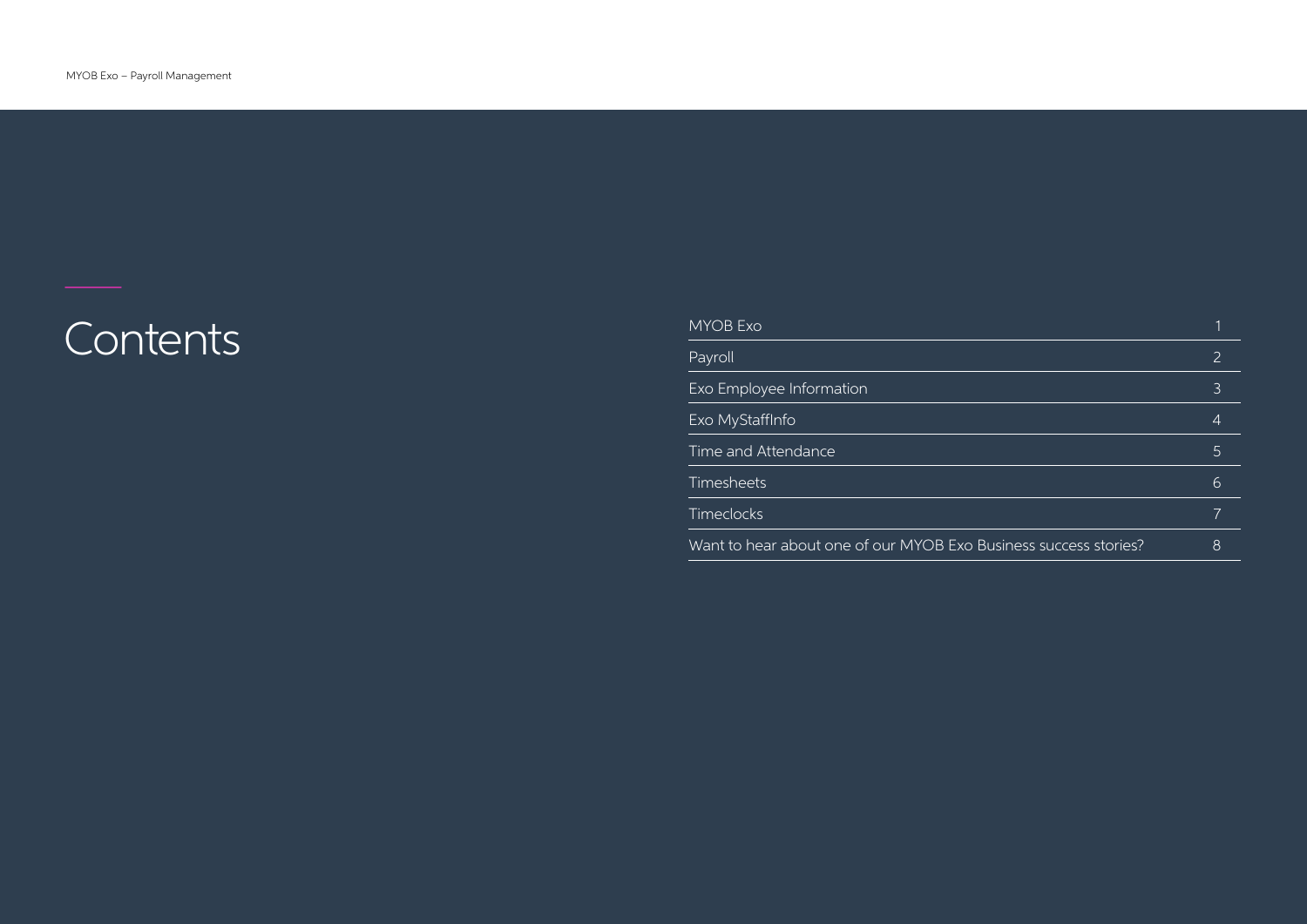# $\overline{\phantom{a}}$  Contents

| Payroll<br>2<br><b>Exo Employee Information</b><br>3<br><b>Exo MyStaffInfo</b><br>4<br>Time and Attendance<br>5<br><b>Timesheets</b><br>6<br><b>Timeclocks</b><br>Want to hear about one of our MYOB Exo Business success stories?<br>8 | MYOB Exo |  |
|-----------------------------------------------------------------------------------------------------------------------------------------------------------------------------------------------------------------------------------------|----------|--|
|                                                                                                                                                                                                                                         |          |  |
|                                                                                                                                                                                                                                         |          |  |
|                                                                                                                                                                                                                                         |          |  |
|                                                                                                                                                                                                                                         |          |  |
|                                                                                                                                                                                                                                         |          |  |
|                                                                                                                                                                                                                                         |          |  |
|                                                                                                                                                                                                                                         |          |  |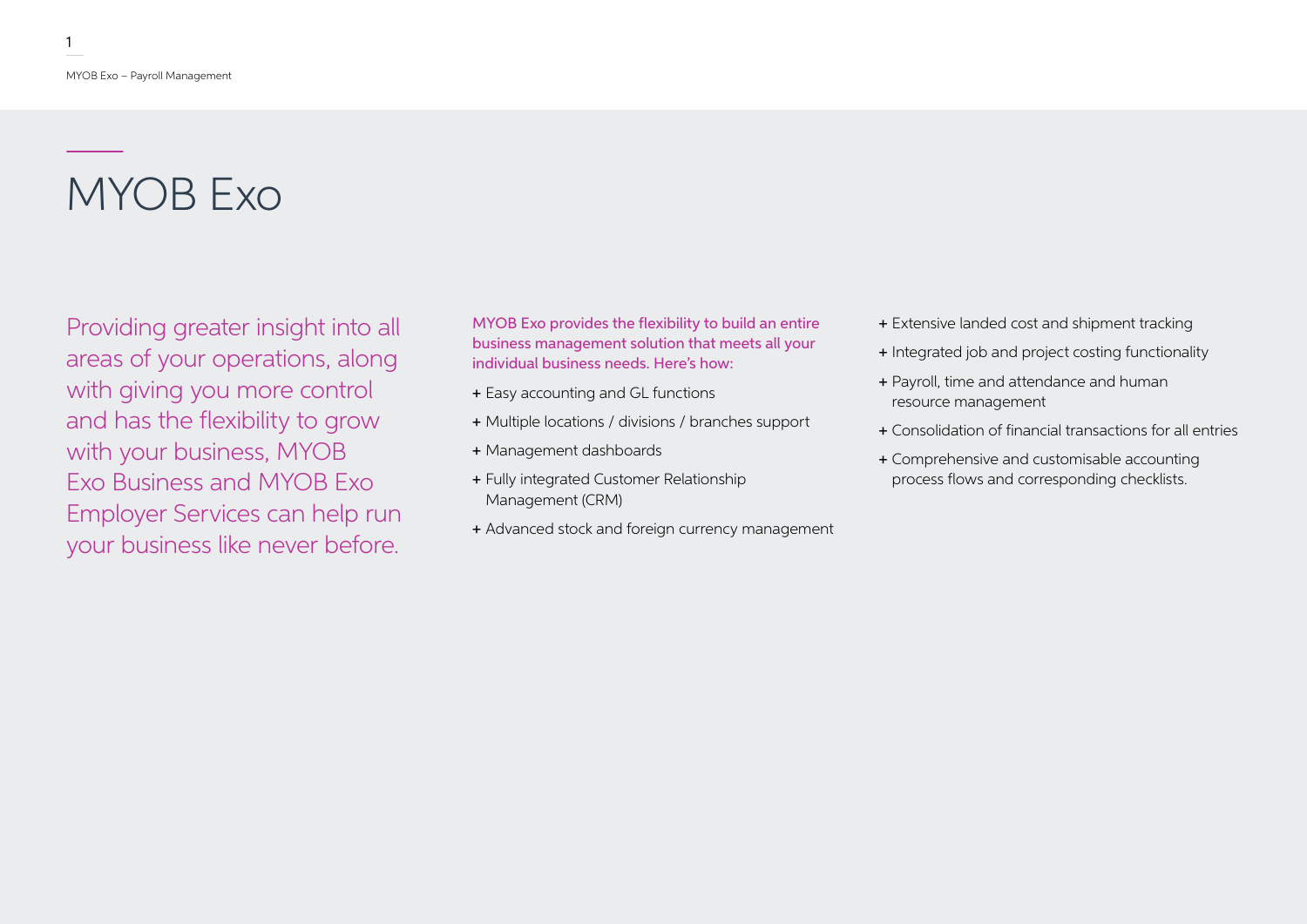## MYOB Exo

Providing greater insight into all areas of your operations, along with giving you more control and has the flexibility to grow with your business, MYOB Exo Business and MYOB Exo Employer Services can help run your business like never before.

MYOB Exo provides the flexibility to build an entire business management solution that meets all your individual business needs. Here's how:

- + Easy accounting and GL functions
- + Multiple locations / divisions / branches support
- + Management dashboards
- + Fully integrated Customer Relationship Management (CRM)
- + Advanced stock and foreign currency management
- + Extensive landed cost and shipment tracking
- + Integrated job and project costing functionality
- + Payroll, time and attendance and human resource management
- + Consolidation of financial transactions for all entries
- + Comprehensive and customisable accounting process flows and corresponding checklists.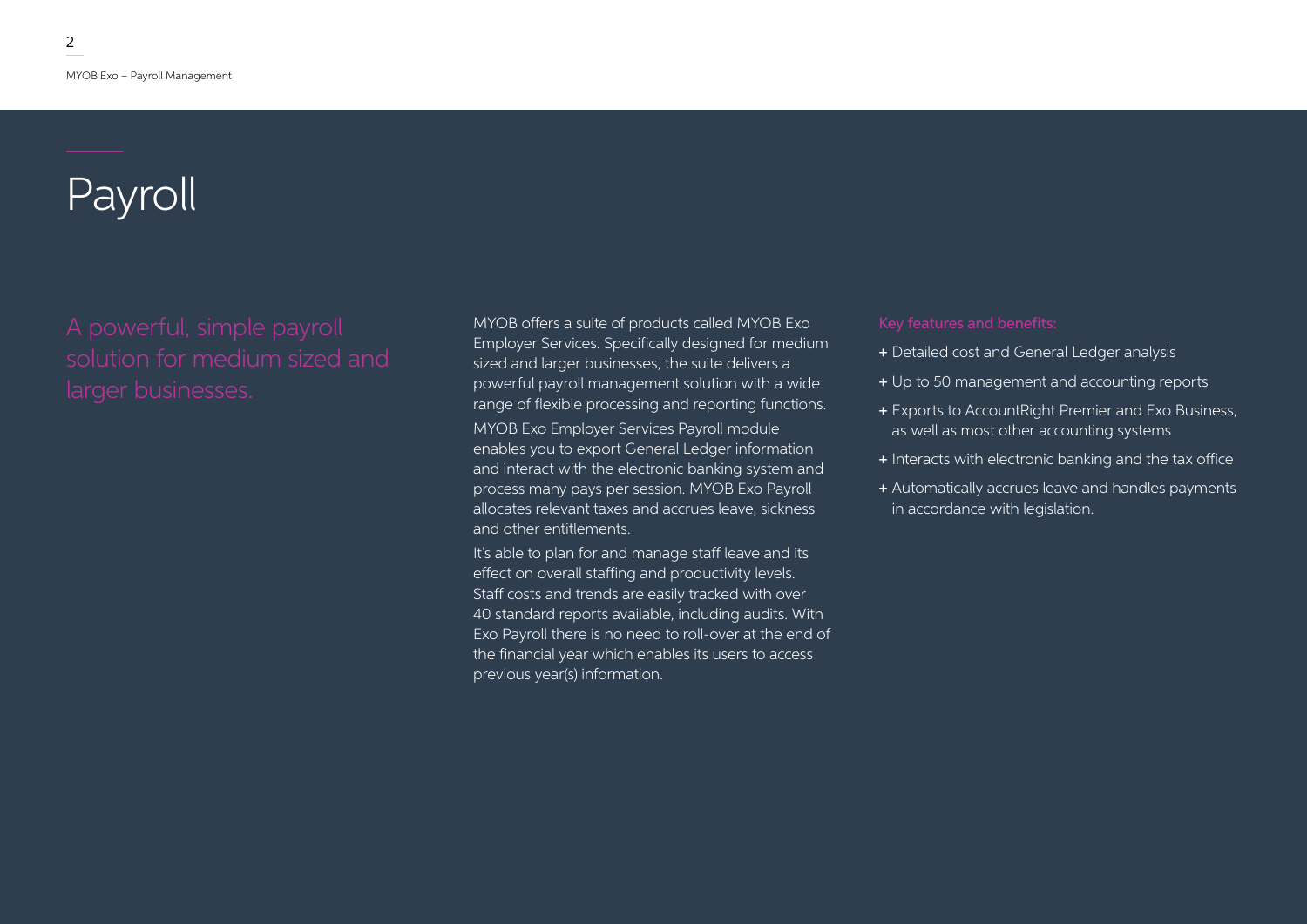## Payroll

MYOB offers a suite of products called MYOB Exo Employer Services. Specifically designed for medium sized and larger businesses, the suite delivers a powerful payroll management solution with a wide range of flexible processing and reporting functions.

MYOB Exo Employer Services Payroll module enables you to export General Ledger information and interact with the electronic banking system and process many pays per session. MYOB Exo Payroll allocates relevant taxes and accrues leave, sickness and other entitlements.

It's able to plan for and manage staff leave and its effect on overall staffing and productivity levels. Staff costs and trends are easily tracked with over 40 standard reports available, including audits. With Exo Payroll there is no need to roll-over at the end of the financial year which enables its users to access previous year(s) information.

- + Detailed cost and General Ledger analysis
- + Up to 50 management and accounting reports
- + Exports to AccountRight Premier and Exo Business, as well as most other accounting systems
- + Interacts with electronic banking and the tax office
- + Automatically accrues leave and handles payments in accordance with legislation.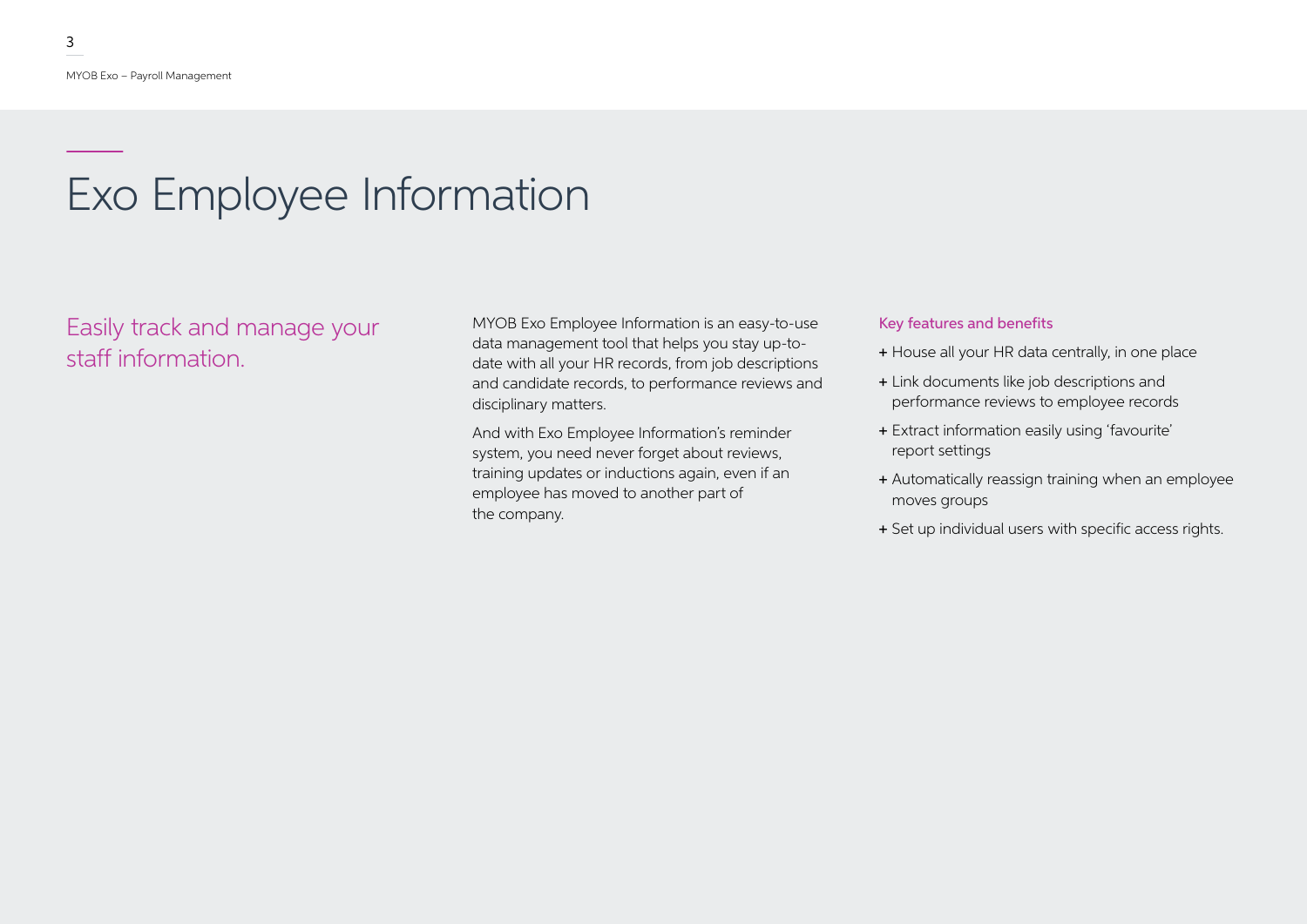## Exo Employee Information

### Easily track and manage your staff information.

MYOB Exo Employee Information is an easy-to-use data management tool that helps you stay up-todate with all your HR records, from job descriptions and candidate records, to performance reviews and disciplinary matters.

And with Exo Employee Information's reminder system, you need never forget about reviews, training updates or inductions again, even if an employee has moved to another part of the company.

### Key features and benefits

- + House all your HR data centrally, in one place
- + Link documents like job descriptions and performance reviews to employee records
- + Extract information easily using 'favourite' report settings
- + Automatically reassign training when an employee moves groups
- + Set up individual users with specific access rights.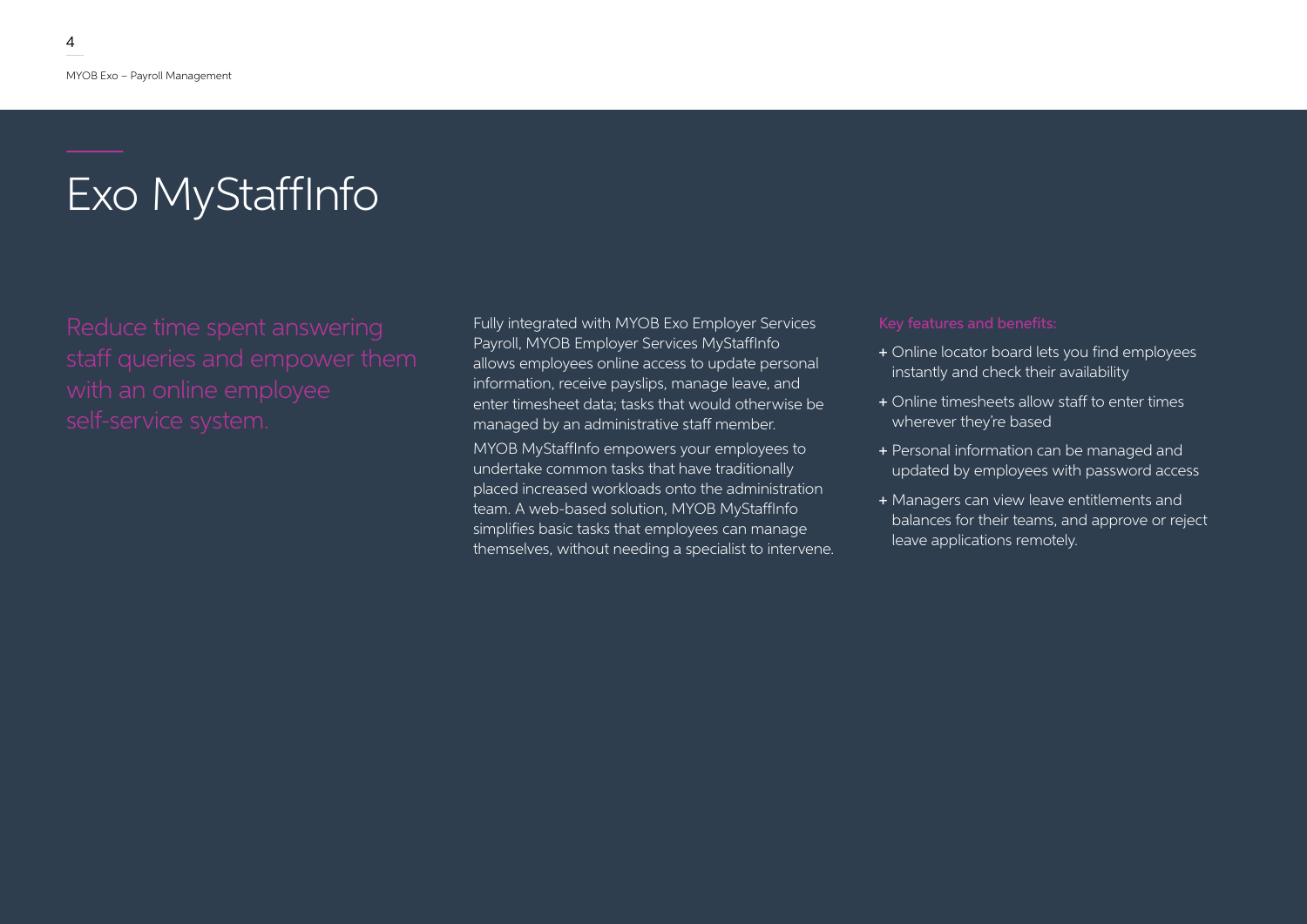## Exo MyStaffInfo

Fully integrated with MYOB Exo Employer Services Payroll, MYOB Employer Services MyStaffInfo allows employees online access to update personal information, receive payslips, manage leave, and enter timesheet data; tasks that would otherwise be managed by an administrative staff member.

MYOB MyStaffInfo empowers your employees to undertake common tasks that have traditionally placed increased workloads onto the administration team. A web-based solution, MYOB MyStaffInfo simplifies basic tasks that employees can manage themselves, without needing a specialist to intervene.

- + Online locator board lets you find employees instantly and check their availability
- + Online timesheets allow staff to enter times wherever they're based
- + Personal information can be managed and updated by employees with password access
- + Managers can view leave entitlements and balances for their teams, and approve or reject leave applications remotely.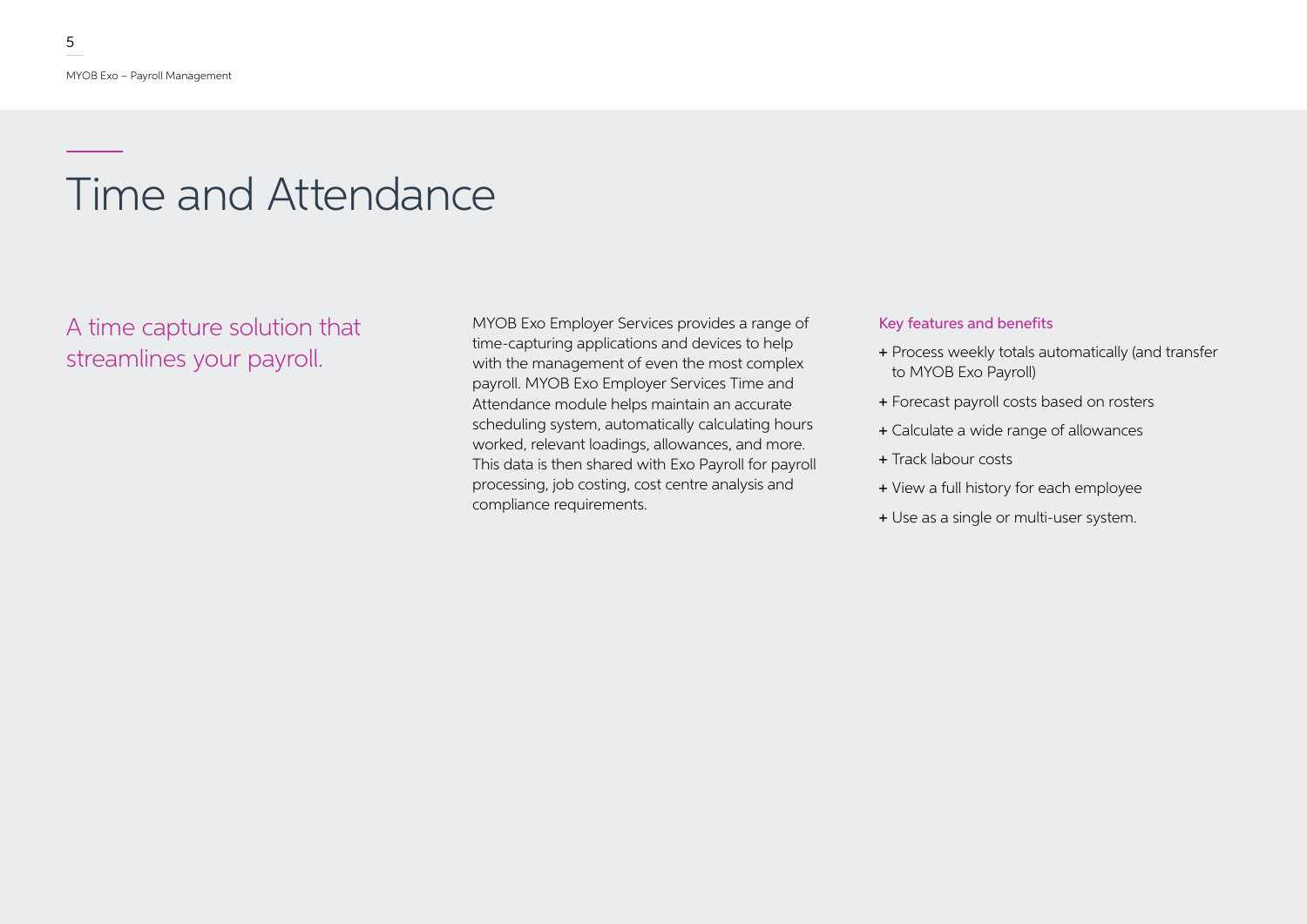## Time and Attendance

A time capture solution that streamlines your payroll.

MYOB Exo Employer Services provides a range of time-capturing applications and devices to help with the management of even the most complex payroll. MYOB Exo Employer Services Time and Attendance module helps maintain an accurate scheduling system, automatically calculating hours worked, relevant loadings, allowances, and more. This data is then shared with Exo Payroll for payroll processing, job costing, cost centre analysis and compliance requirements.

### Key features and benefits

- + Process weekly totals automatically (and transfer to MYOB Exo Payroll)
- + Forecast payroll costs based on rosters
- + Calculate a wide range of allowances
- + Track labour costs
- + View a full history for each employee
- + Use as a single or multi-user system.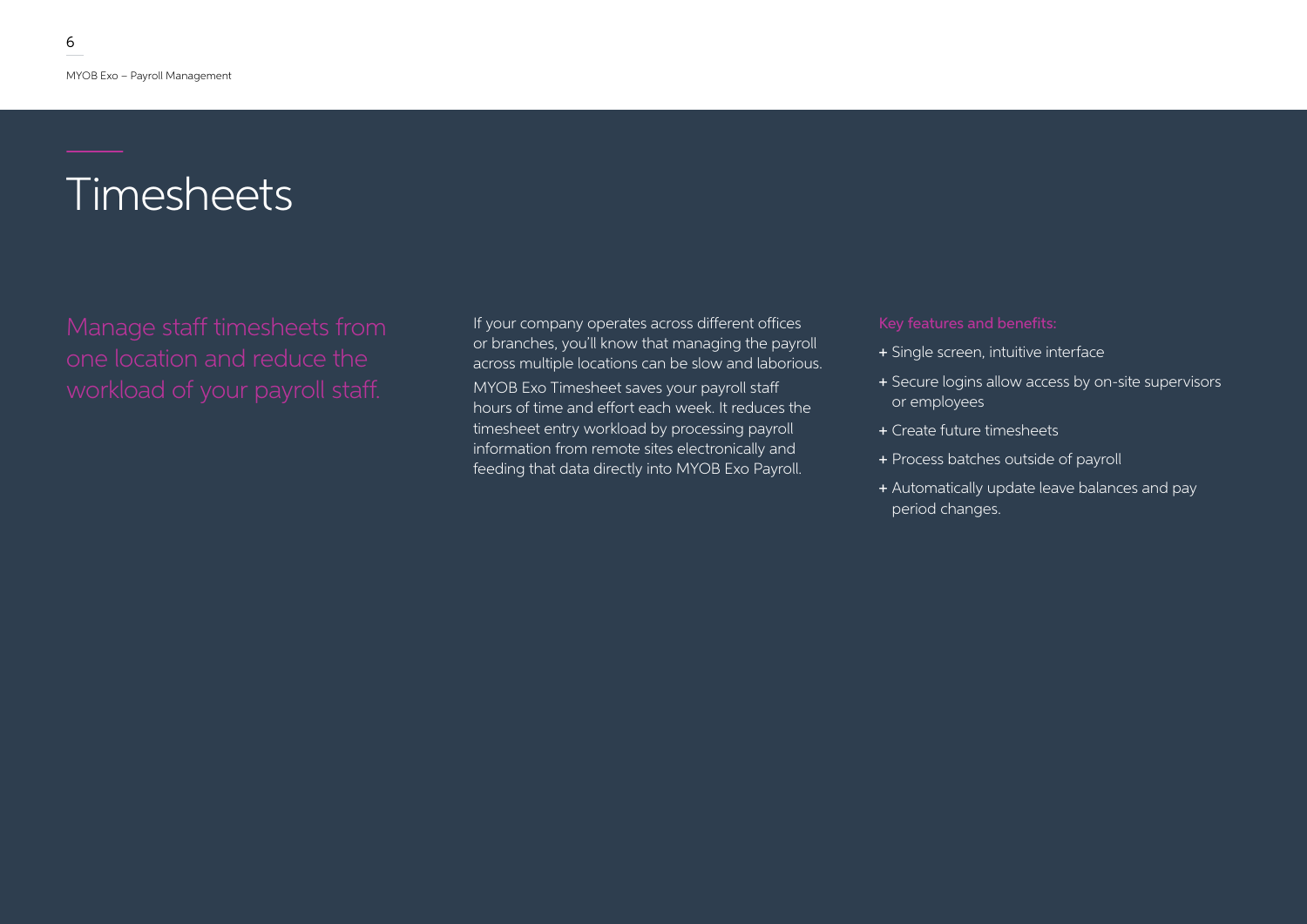## Timesheets

If your company operates across different offices or branches, you'll know that managing the payroll across multiple locations can be slow and laborious. MYOB Exo Timesheet saves your payroll staff hours of time and effort each week. It reduces the timesheet entry workload by processing payroll information from remote sites electronically and feeding that data directly into MYOB Exo Payroll.

- + Single screen, intuitive interface
- + Secure logins allow access by on-site supervisors or employees
- + Create future timesheets
- + Process batches outside of payroll
- + Automatically update leave balances and pay period changes.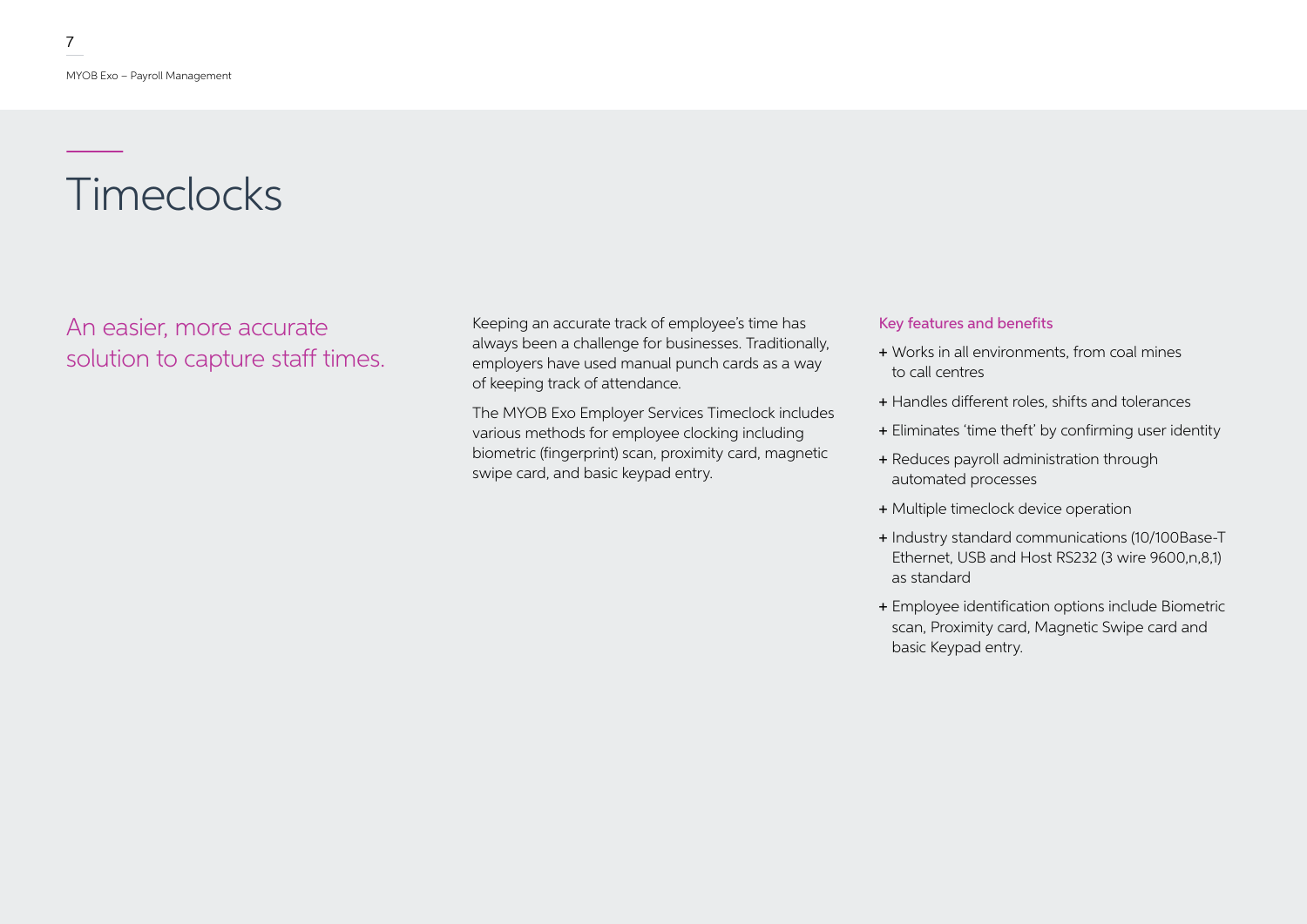## **Timeclocks**

An easier, more accurate solution to capture staff times.

Keeping an accurate track of employee's time has always been a challenge for businesses. Traditionally, employers have used manual punch cards as a way of keeping track of attendance.

The MYOB Exo Employer Services Timeclock includes various methods for employee clocking including biometric (fingerprint) scan, proximity card, magnetic swipe card, and basic keypad entry.

### Key features and benefits

- + Works in all environments, from coal mines to call centres
- + Handles different roles, shifts and tolerances
- + Eliminates 'time theft' by confirming user identity
- + Reduces payroll administration through automated processes
- + Multiple timeclock device operation
- + Industry standard communications (10/100Base-T Ethernet, USB and Host RS232 (3 wire 9600,n,8,1) as standard
- + Employee identification options include Biometric scan, Proximity card, Magnetic Swipe card and basic Keypad entry.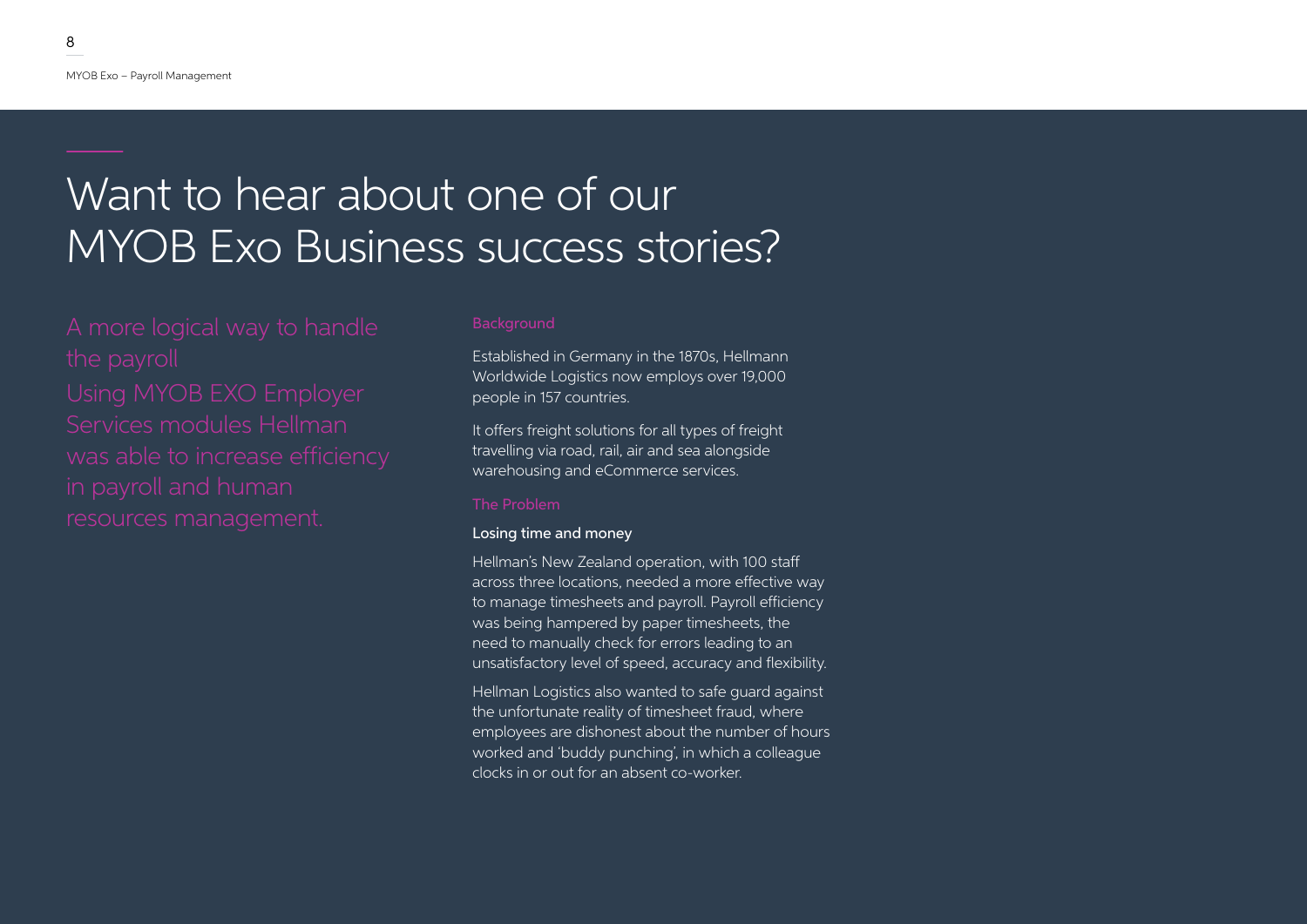## Want to hear about one of our MYOB Exo Business success stories?

Established in Germany in the 1870s, Hellmann Worldwide Logistics now employs over 19,000 people in 157 countries.

It offers freight solutions for all types of freight travelling via road, rail, air and sea alongside warehousing and eCommerce services.

### The Problem

### Losing time and money

Hellman's New Zealand operation, with 100 staff across three locations, needed a more effective way to manage timesheets and payroll. Payroll efficiency was being hampered by paper timesheets, the need to manually check for errors leading to an unsatisfactory level of speed, accuracy and flexibility.

Hellman Logistics also wanted to safe guard against the unfortunate reality of timesheet fraud, where employees are dishonest about the number of hours worked and 'buddy punching', in which a colleague clocks in or out for an absent co-worker.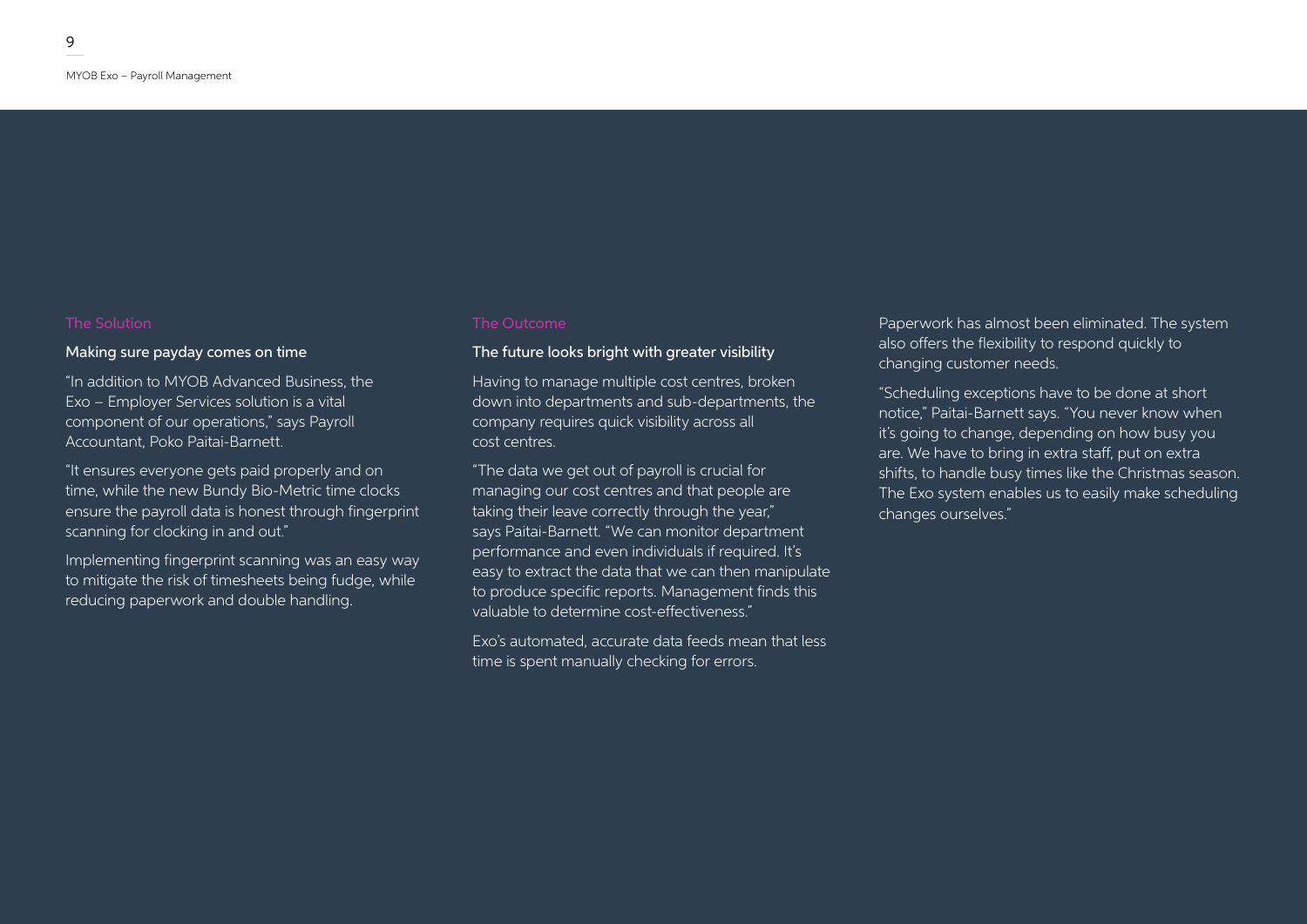### Making sure payday comes on time

"In addition to MYOB Advanced Business, the Exo – Employer Services solution is a vital component of our operations," says Payroll Accountant, Poko Paitai-Barnett.

"It ensures everyone gets paid properly and on time, while the new Bundy Bio-Metric time clocks ensure the payroll data is honest through fingerprint scanning for clocking in and out."

Implementing fingerprint scanning was an easy way to mitigate the risk of timesheets being fudge, while reducing paperwork and double handling.

### The future looks bright with greater visibility

Having to manage multiple cost centres, broken down into departments and sub-departments, the company requires quick visibility across all cost centres.

"The data we get out of payroll is crucial for managing our cost centres and that people are taking their leave correctly through the year," says Paitai-Barnett. "We can monitor department performance and even individuals if required. It's easy to extract the data that we can then manipulate to produce specific reports. Management finds this valuable to determine cost-effectiveness."

Exo's automated, accurate data feeds mean that less time is spent manually checking for errors.

Paperwork has almost been eliminated. The system also offers the flexibility to respond quickly to changing customer needs.

"Scheduling exceptions have to be done at short notice," Paitai-Barnett says. "You never know when it's going to change, depending on how busy you are. We have to bring in extra staff, put on extra shifts, to handle busy times like the Christmas season. The Exo system enables us to easily make scheduling changes ourselves."